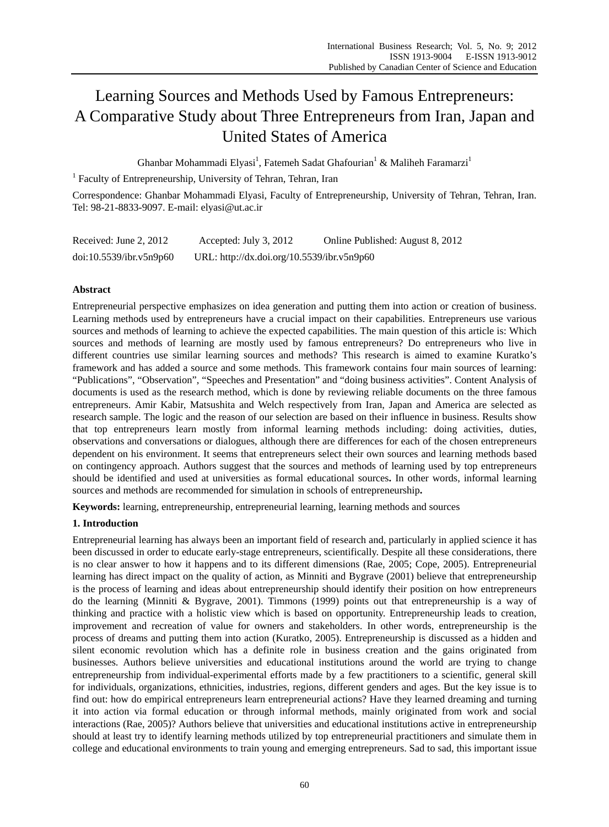# Learning Sources and Methods Used by Famous Entrepreneurs: A Comparative Study about Three Entrepreneurs from Iran, Japan and United States of America

Ghanbar Mohammadi Elyasi<sup>1</sup>, Fatemeh Sadat Ghafourian<sup>1</sup> & Maliheh Faramarzi<sup>1</sup>

<sup>1</sup> Faculty of Entrepreneurship, University of Tehran, Tehran, Iran

Correspondence: Ghanbar Mohammadi Elyasi, Faculty of Entrepreneurship, University of Tehran, Tehran, Iran. Tel: 98-21-8833-9097. E-mail: elyasi@ut.ac.ir

| Received: June 2, 2012  | Accepted: July 3, 2012                     | Online Published: August 8, 2012 |
|-------------------------|--------------------------------------------|----------------------------------|
| doi:10.5539/ibr.v5n9p60 | URL: http://dx.doi.org/10.5539/ibr.v5n9p60 |                                  |

# **Abstract**

Entrepreneurial perspective emphasizes on idea generation and putting them into action or creation of business. Learning methods used by entrepreneurs have a crucial impact on their capabilities. Entrepreneurs use various sources and methods of learning to achieve the expected capabilities. The main question of this article is: Which sources and methods of learning are mostly used by famous entrepreneurs? Do entrepreneurs who live in different countries use similar learning sources and methods? This research is aimed to examine Kuratko's framework and has added a source and some methods. This framework contains four main sources of learning: "Publications", "Observation", "Speeches and Presentation" and "doing business activities". Content Analysis of documents is used as the research method, which is done by reviewing reliable documents on the three famous entrepreneurs. Amir Kabir, Matsushita and Welch respectively from Iran, Japan and America are selected as research sample. The logic and the reason of our selection are based on their influence in business. Results show that top entrepreneurs learn mostly from informal learning methods including: doing activities, duties, observations and conversations or dialogues, although there are differences for each of the chosen entrepreneurs dependent on his environment. It seems that entrepreneurs select their own sources and learning methods based on contingency approach. Authors suggest that the sources and methods of learning used by top entrepreneurs should be identified and used at universities as formal educational sources**.** In other words, informal learning sources and methods are recommended for simulation in schools of entrepreneurship**.** 

**Keywords:** learning, entrepreneurship, entrepreneurial learning, learning methods and sources

# **1. Introduction**

Entrepreneurial learning has always been an important field of research and, particularly in applied science it has been discussed in order to educate early-stage entrepreneurs, scientifically. Despite all these considerations, there is no clear answer to how it happens and to its different dimensions (Rae, 2005; Cope, 2005). Entrepreneurial learning has direct impact on the quality of action, as Minniti and Bygrave (2001) believe that entrepreneurship is the process of learning and ideas about entrepreneurship should identify their position on how entrepreneurs do the learning (Minniti & Bygrave, 2001). Timmons (1999) points out that entrepreneurship is a way of thinking and practice with a holistic view which is based on opportunity. Entrepreneurship leads to creation, improvement and recreation of value for owners and stakeholders. In other words, entrepreneurship is the process of dreams and putting them into action (Kuratko, 2005). Entrepreneurship is discussed as a hidden and silent economic revolution which has a definite role in business creation and the gains originated from businesses. Authors believe universities and educational institutions around the world are trying to change entrepreneurship from individual-experimental efforts made by a few practitioners to a scientific, general skill for individuals, organizations, ethnicities, industries, regions, different genders and ages. But the key issue is to find out: how do empirical entrepreneurs learn entrepreneurial actions? Have they learned dreaming and turning it into action via formal education or through informal methods, mainly originated from work and social interactions (Rae, 2005)? Authors believe that universities and educational institutions active in entrepreneurship should at least try to identify learning methods utilized by top entrepreneurial practitioners and simulate them in college and educational environments to train young and emerging entrepreneurs. Sad to sad, this important issue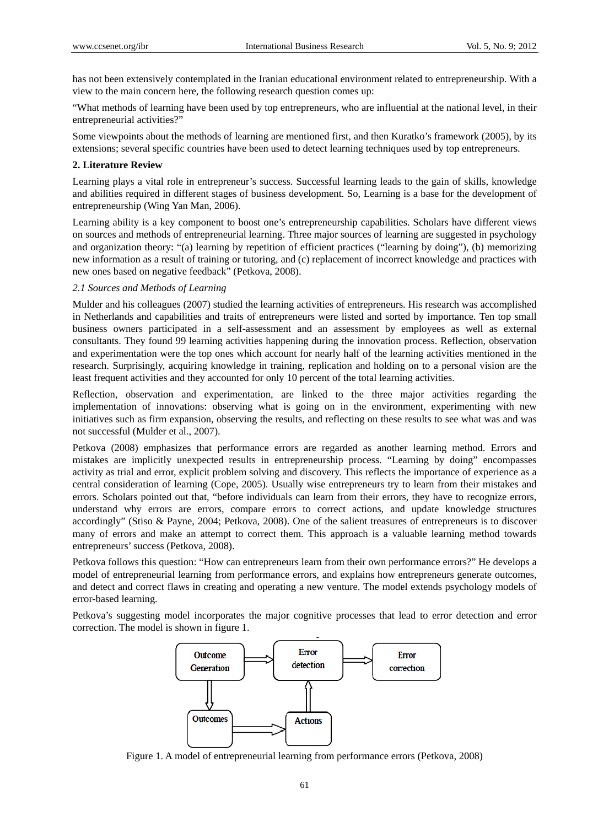has not been extensively contemplated in the Iranian educational environment related to entrepreneurship. With a view to the main concern here, the following research question comes up:

"What methods of learning have been used by top entrepreneurs, who are influential at the national level, in their entrepreneurial activities?"

Some viewpoints about the methods of learning are mentioned first, and then Kuratko's framework (2005), by its extensions; several specific countries have been used to detect learning techniques used by top entrepreneurs.

#### 2. Literature Review

Learning plays a vital role in entrepreneur's success. Successful learning leads to the gain of skills, knowledge and abilities required in different stages of business development. So, Learning is a base for the development of entrepreneurship (Wing Yan Man, 2006).

Learning ability is a key component to boost one's entrepreneurship capabilities. Scholars have different views on sources and methods of entrepreneurial learning. Three major sources of learning are suggested in psychology and organization theory: "(a) learning by repetition of efficient practices ("learning by doing"), (b) memorizing new information as a result of training or tutoring, and (c) replacement of incorrect knowledge and practices with new ones based on negative feedback" (Petkova, 2008).

#### 2.1 Sources and Methods of Learning

Mulder and his colleagues (2007) studied the learning activities of entrepreneurs. His research was accomplished in Netherlands and capabilities and traits of entrepreneurs were listed and sorted by importance. Ten top small business owners participated in a self-assessment and an assessment by employees as well as external consultants. They found 99 learning activities happening during the innovation process. Reflection, observation and experimentation were the top ones which account for nearly half of the learning activities mentioned in the research. Surprisingly, acquiring knowledge in training, replication and holding on to a personal vision are the least frequent activities and they accounted for only 10 percent of the total learning activities.

Reflection, observation and experimentation, are linked to the three major activities regarding the implementation of innovations: observing what is going on in the environment, experimenting with new initiatives such as firm expansion, observing the results, and reflecting on these results to see what was and was not successful (Mulder et al., 2007).

Petkova (2008) emphasizes that performance errors are regarded as another learning method. Errors and mistakes are implicitly unexpected results in entrepreneurship process. "Learning by doing" encompasses activity as trial and error, explicit problem solving and discovery. This reflects the importance of experience as a central consideration of learning (Cope, 2005). Usually wise entrepreneurs try to learn from their mistakes and errors. Scholars pointed out that, "before individuals can learn from their errors, they have to recognize errors, understand why errors are errors, compare errors to correct actions, and update knowledge structures accordingly" (Stiso & Payne, 2004; Petkova, 2008). One of the salient treasures of entrepreneurs is to discover many of errors and make an attempt to correct them. This approach is a valuable learning method towards entrepreneurs' success (Petkova, 2008).

Petkova follows this question: "How can entrepreneurs learn from their own performance errors?" He develops a model of entrepreneurial learning from performance errors, and explains how entrepreneurs generate outcomes, and detect and correct flaws in creating and operating a new venture. The model extends psychology models of error-based learning.

Petkova's suggesting model incorporates the major cognitive processes that lead to error detection and error correction. The model is shown in figure 1.



Figure 1. A model of entrepreneurial learning from performance errors (Petkova, 2008)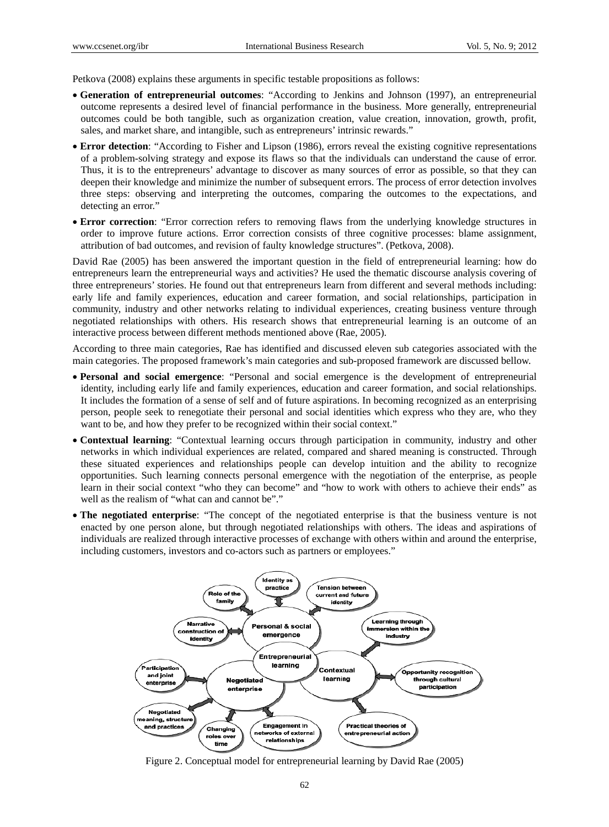Petkova (2008) explains these arguments in specific testable propositions as follows:

- Generation of entrepreneurial outcomes: "According to Jenkins and Johnson (1997), an entrepreneurial outcome represents a desired level of financial performance in the business. More generally, entrepreneurial outcomes could be both tangible, such as organization creation, value creation, innovation, growth, profit, sales, and market share, and intangible, such as entrepreneurs' intrinsic rewards."
- Error detection: "According to Fisher and Lipson (1986), errors reveal the existing cognitive representations of a problem-solving strategy and expose its flaws so that the individuals can understand the cause of error. Thus, it is to the entrepreneurs' advantage to discover as many sources of error as possible, so that they can deepen their knowledge and minimize the number of subsequent errors. The process of error detection involves three steps: observing and interpreting the outcomes, comparing the outcomes to the expectations, and detecting an error."
- Error correction: "Error correction refers to removing flaws from the underlying knowledge structures in order to improve future actions. Error correction consists of three cognitive processes: blame assignment, attribution of bad outcomes, and revision of faulty knowledge structures". (Petkova, 2008).

David Rae (2005) has been answered the important question in the field of entrepreneurial learning: how do entrepreneurs learn the entrepreneurial ways and activities? He used the thematic discourse analysis covering of three entrepreneurs' stories. He found out that entrepreneurs learn from different and several methods including: early life and family experiences, education and career formation, and social relationships, participation in community, industry and other networks relating to individual experiences, creating business venture through negotiated relationships with others. His research shows that entrepreneurial learning is an outcome of an interactive process between different methods mentioned above (Rae, 2005).

According to three main categories, Rae has identified and discussed eleven sub categories associated with the main categories. The proposed framework's main categories and sub-proposed framework are discussed bellow.

- Personal and social emergence: "Personal and social emergence is the development of entrepreneurial identity, including early life and family experiences, education and career formation, and social relationships. It includes the formation of a sense of self and of future aspirations. In becoming recognized as an enterprising person, people seek to renegotiate their personal and social identities which express who they are, who they want to be, and how they prefer to be recognized within their social context."
- Contextual learning: "Contextual learning occurs through participation in community, industry and other networks in which individual experiences are related, compared and shared meaning is constructed. Through these situated experiences and relationships people can develop intuition and the ability to recognize opportunities. Such learning connects personal emergence with the negotiation of the enterprise, as people learn in their social context "who they can become" and "how to work with others to achieve their ends" as well as the realism of "what can and cannot be"."
- The negotiated enterprise: "The concept of the negotiated enterprise is that the business venture is not enacted by one person alone, but through negotiated relationships with others. The ideas and aspirations of individuals are realized through interactive processes of exchange with others within and around the enterprise, including customers, investors and co-actors such as partners or employees."



Figure 2. Conceptual model for entrepreneurial learning by David Rae (2005)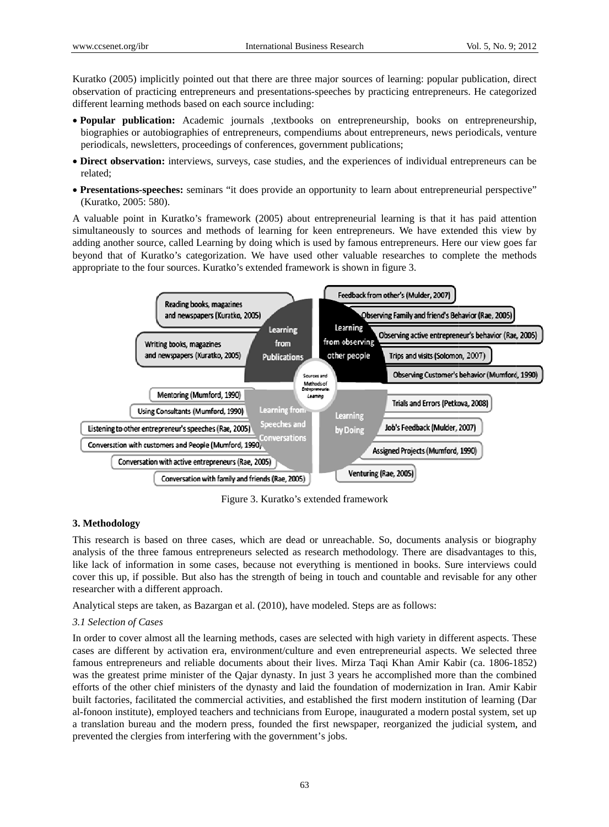Kuratko (2005) implicitly pointed out that there are three major sources of learning: popular publication, direct observation of practicing entrepreneurs and presentations-speeches by practicing entrepreneurs. He categorized different learning methods based on each source including:

- Popular publication: Academic journals ,textbooks on entrepreneurship, books on entrepreneurship, biographies or autobiographies of entrepreneurs, compendiums about entrepreneurs, news periodicals, venture periodicals, newsletters, proceedings of conferences, government publications;
- Direct observation: interviews, surveys, case studies, and the experiences of individual entrepreneurs can be related:
- Presentations-speeches: seminars "it does provide an opportunity to learn about entrepreneurial perspective" (Kuratko, 2005: 580).

A valuable point in Kuratko's framework (2005) about entrepreneurial learning is that it has paid attention simultaneously to sources and methods of learning for keen entrepreneurs. We have extended this view by adding another source, called Learning by doing which is used by famous entrepreneurs. Here our view goes far beyond that of Kuratko's categorization. We have used other valuable researches to complete the methods appropriate to the four sources. Kuratko's extended framework is shown in figure 3.



Figure 3. Kuratko's extended framework

# 3. Methodology

This research is based on three cases, which are dead or unreachable. So, documents analysis or biography analysis of the three famous entrepreneurs selected as research methodology. There are disadvantages to this, like lack of information in some cases, because not everything is mentioned in books. Sure interviews could cover this up, if possible. But also has the strength of being in touch and countable and revisable for any other researcher with a different approach.

Analytical steps are taken, as Bazargan et al. (2010), have modeled. Steps are as follows:

# 3.1 Selection of Cases

In order to cover almost all the learning methods, cases are selected with high variety in different aspects. These cases are different by activation era, environment/culture and even entrepreneurial aspects. We selected three famous entrepreneurs and reliable documents about their lives. Mirza Taqi Khan Amir Kabir (ca. 1806-1852) was the greatest prime minister of the Qajar dynasty. In just 3 years he accomplished more than the combined efforts of the other chief ministers of the dynasty and laid the foundation of modernization in Iran. Amir Kabir built factories, facilitated the commercial activities, and established the first modern institution of learning (Dar al-fonoon institute), employed teachers and technicians from Europe, inaugurated a modern postal system, set up a translation bureau and the modern press, founded the first newspaper, reorganized the judicial system, and prevented the clergies from interfering with the government's jobs.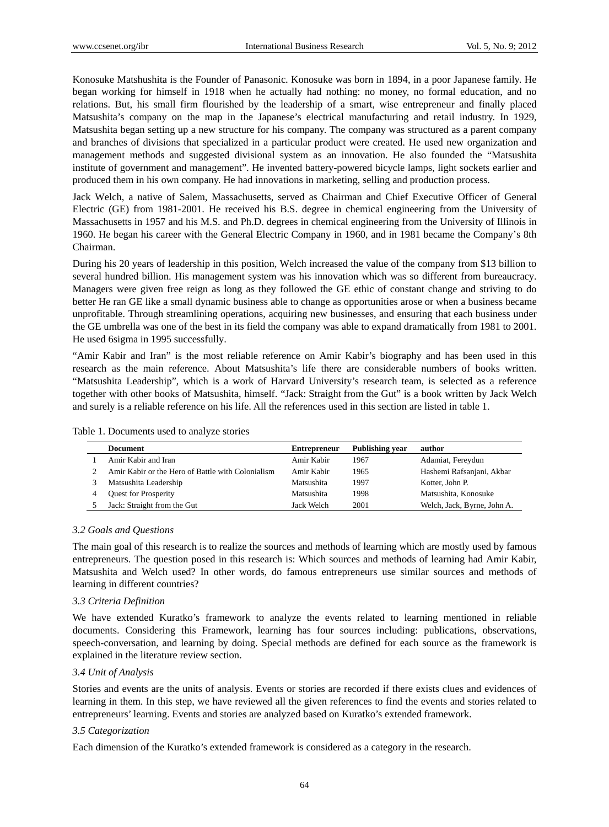Konosuke Matshushita is the Founder of Panasonic. Konosuke was born in 1894, in a poor Japanese family. He began working for himself in 1918 when he actually had nothing: no money, no formal education, and no relations. But, his small firm flourished by the leadership of a smart, wise entrepreneur and finally placed Matsushita's company on the map in the Japanese's electrical manufacturing and retail industry. In 1929, Matsushita began setting up a new structure for his company. The company was structured as a parent company and branches of divisions that specialized in a particular product were created. He used new organization and management methods and suggested divisional system as an innovation. He also founded the "Matsushita institute of government and management". He invented battery-powered bicycle lamps, light sockets earlier and produced them in his own company. He had innovations in marketing, selling and production process.

Jack Welch, a native of Salem, Massachusetts, served as Chairman and Chief Executive Officer of General Electric (GE) from 1981-2001. He received his B.S. degree in chemical engineering from the University of Massachusetts in 1957 and his M.S. and Ph.D. degrees in chemical engineering from the University of Illinois in 1960. He began his career with the General Electric Company in 1960, and in 1981 became the Company's 8th Chairman.

During his 20 years of leadership in this position, Welch increased the value of the company from \$13 billion to several hundred billion. His management system was his innovation which was so different from bureaucracy. Managers were given free reign as long as they followed the GE ethic of constant change and striving to do better He ran GE like a small dynamic business able to change as opportunities arose or when a business became unprofitable. Through streamlining operations, acquiring new businesses, and ensuring that each business under the GE umbrella was one of the best in its field the company was able to expand dramatically from 1981 to 2001. He used 6sigma in 1995 successfully.

"Amir Kabir and Iran" is the most reliable reference on Amir Kabir's biography and has been used in this research as the main reference. About Matsushita's life there are considerable numbers of books written. "Matsushita Leadership", which is a work of Harvard University's research team, is selected as a reference together with other books of Matsushita, himself. "Jack: Straight from the Gut" is a book written by Jack Welch and surely is a reliable reference on his life. All the references used in this section are listed in table 1.

| <b>Document</b>                                   | <b>Entrepreneur</b> | Publishing year | author                      |
|---------------------------------------------------|---------------------|-----------------|-----------------------------|
| Amir Kabir and Iran                               | Amir Kabir          | 1967            | Adamiat, Fereydun           |
| Amir Kabir or the Hero of Battle with Colonialism | Amir Kabir          | 1965            | Hashemi Rafsanjani, Akbar   |
| Matsushita Leadership                             | Matsushita          | 1997            | Kotter, John P.             |
| <b>Quest for Prosperity</b>                       | Matsushita          | 1998            | Matsushita, Konosuke        |
| Jack: Straight from the Gut                       | Jack Welch          | 2001            | Welch, Jack, Byrne, John A. |

Table 1. Documents used to analyze stories

#### *3.2 Goals and Questions*

The main goal of this research is to realize the sources and methods of learning which are mostly used by famous entrepreneurs. The question posed in this research is: Which sources and methods of learning had Amir Kabir, Matsushita and Welch used? In other words, do famous entrepreneurs use similar sources and methods of learning in different countries?

## *3.3 Criteria Definition*

We have extended Kuratko's framework to analyze the events related to learning mentioned in reliable documents. Considering this Framework, learning has four sources including: publications, observations, speech-conversation, and learning by doing. Special methods are defined for each source as the framework is explained in the literature review section.

## *3.4 Unit of Analysis*

Stories and events are the units of analysis. Events or stories are recorded if there exists clues and evidences of learning in them. In this step, we have reviewed all the given references to find the events and stories related to entrepreneurs' learning. Events and stories are analyzed based on Kuratko's extended framework.

### *3.5 Categorization*

Each dimension of the Kuratko's extended framework is considered as a category in the research.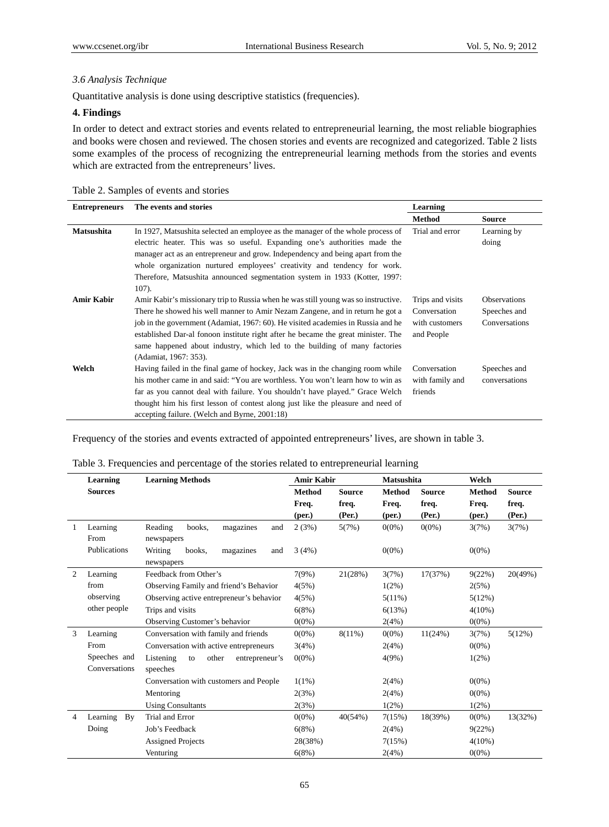## *3.6 Analysis Technique*

Quantitative analysis is done using descriptive statistics (frequencies).

## **4. Findings**

In order to detect and extract stories and events related to entrepreneurial learning, the most reliable biographies and books were chosen and reviewed. The chosen stories and events are recognized and categorized. Table 2 lists some examples of the process of recognizing the entrepreneurial learning methods from the stories and events which are extracted from the entrepreneurs' lives.

| Table 2. Samples of events and stories |
|----------------------------------------|
|----------------------------------------|

| <b>Entrepreneurs</b> | The events and stories                                                             | Learning         |                     |  |
|----------------------|------------------------------------------------------------------------------------|------------------|---------------------|--|
|                      |                                                                                    | <b>Method</b>    | <b>Source</b>       |  |
| <b>Matsushita</b>    | In 1927, Matsushita selected an employee as the manager of the whole process of    | Trial and error  | Learning by         |  |
|                      | electric heater. This was so useful. Expanding one's authorities made the          |                  | doing               |  |
|                      | manager act as an entrepreneur and grow. Independency and being apart from the     |                  |                     |  |
|                      | whole organization nurtured employees' creativity and tendency for work.           |                  |                     |  |
|                      | Therefore, Matsushita announced segmentation system in 1933 (Kotter, 1997:         |                  |                     |  |
|                      | $107$ ).                                                                           |                  |                     |  |
| Amir Kabir           | Amir Kabir's missionary trip to Russia when he was still young was so instructive. | Trips and visits | <b>Observations</b> |  |
|                      | There he showed his well manner to Amir Nezam Zangene, and in return he got a      | Conversation     | Speeches and        |  |
|                      | job in the government (Adamiat, 1967: 60). He visited academies in Russia and he   | with customers   | Conversations       |  |
|                      | established Dar-al fonoon institute right after he became the great minister. The  | and People       |                     |  |
|                      | same happened about industry, which led to the building of many factories          |                  |                     |  |
|                      | (Adamiat, 1967: 353).                                                              |                  |                     |  |
| Welch                | Having failed in the final game of hockey, Jack was in the changing room while     | Conversation     | Speeches and        |  |
|                      | his mother came in and said: "You are worthless. You won't learn how to win as     | with family and  | conversations       |  |
|                      | far as you cannot deal with failure. You shouldn't have played." Grace Welch       | friends          |                     |  |
|                      | thought him his first lesson of contest along just like the pleasure and need of   |                  |                     |  |
|                      | accepting failure. (Welch and Byrne, 2001:18)                                      |                  |                     |  |

Frequency of the stories and events extracted of appointed entrepreneurs' lives, are shown in table 3.

|  |  | Table 3. Frequencies and percentage of the stories related to entrepreneurial learning |  |
|--|--|----------------------------------------------------------------------------------------|--|
|  |  |                                                                                        |  |

|   | Learning       | <b>Learning Methods</b>                    | <b>Amir Kabir</b> |               | <b>Matsushita</b> |               | Welch           |               |
|---|----------------|--------------------------------------------|-------------------|---------------|-------------------|---------------|-----------------|---------------|
|   | <b>Sources</b> |                                            | <b>Method</b>     | <b>Source</b> | <b>Method</b>     | <b>Source</b> | <b>Method</b>   | <b>Source</b> |
|   |                |                                            | Freq.             | freq.         | Freq.             | freq.         | Freq.           | freq.         |
|   |                |                                            | $(\mathbf{per})$  | (Per.)        | $(\text{per.})$   | (Per.)        | $(\text{per.})$ | (Per.)        |
|   | Learning       | Reading<br>books.<br>magazines<br>and      | 2(3%)             | 5(7%)         | $0(0\%)$          | $0(0\%)$      | 3(7%)           | 3(7%)         |
|   | From           | newspapers                                 |                   |               |                   |               |                 |               |
|   | Publications   | Writing<br>books.<br>magazines<br>and      | 3(4%)             |               | $0(0\%)$          |               | $0(0\%)$        |               |
|   |                | newspapers                                 |                   |               |                   |               |                 |               |
| 2 | Learning       | Feedback from Other's                      | 7(9%)             | 21(28%)       | 3(7%)             | 17(37%)       | 9(22%)          | 20(49%)       |
|   | from           | Observing Family and friend's Behavior     | 4(5%)             |               | $1(2\%)$          |               | 2(5%)           |               |
|   | observing      | Observing active entrepreneur's behavior   | 4(5%)             |               | $5(11\%)$         |               | 5(12%)          |               |
|   | other people   | Trips and visits                           | 6(8%)             |               | 6(13%)            |               | $4(10\%)$       |               |
|   |                | Observing Customer's behavior              | $0(0\%)$          |               | 2(4%)             |               | $0(0\%)$        |               |
| 3 | Learning       | Conversation with family and friends       | $0(0\%)$          | $8(11\%)$     | $0(0\%)$          | 11(24%)       | 3(7%)           | 5(12%)        |
|   | From           | Conversation with active entrepreneurs     | 3(4%)             |               | 2(4%)             |               | $0(0\%)$        |               |
|   | Speeches and   | Listening<br>other<br>to<br>entrepreneur's | $0(0\%)$          |               | 4(9%)             |               | 1(2%)           |               |
|   | Conversations  | speeches                                   |                   |               |                   |               |                 |               |
|   |                | Conversation with customers and People     | $1(1\%)$          |               | 2(4%)             |               | $0(0\%)$        |               |
|   |                | Mentoring                                  | 2(3%)             |               | 2(4%)             |               | $0(0\%)$        |               |
|   |                | <b>Using Consultants</b>                   | 2(3%)             |               | $1(2\%)$          |               | $1(2\%)$        |               |
| 4 | Learning<br>By | Trial and Error                            | $0(0\%)$          | 40(54%)       | 7(15%)            | 18(39%)       | $0(0\%)$        | 13(32%)       |
|   | Doing          | Job's Feedback                             | 6(8%)             |               | 2(4%)             |               | 9(22%)          |               |
|   |                | <b>Assigned Projects</b>                   | 28(38%)           |               | 7(15%)            |               | $4(10\%)$       |               |
|   |                | Venturing                                  | 6(8%)             |               | 2(4%)             |               | $0(0\%)$        |               |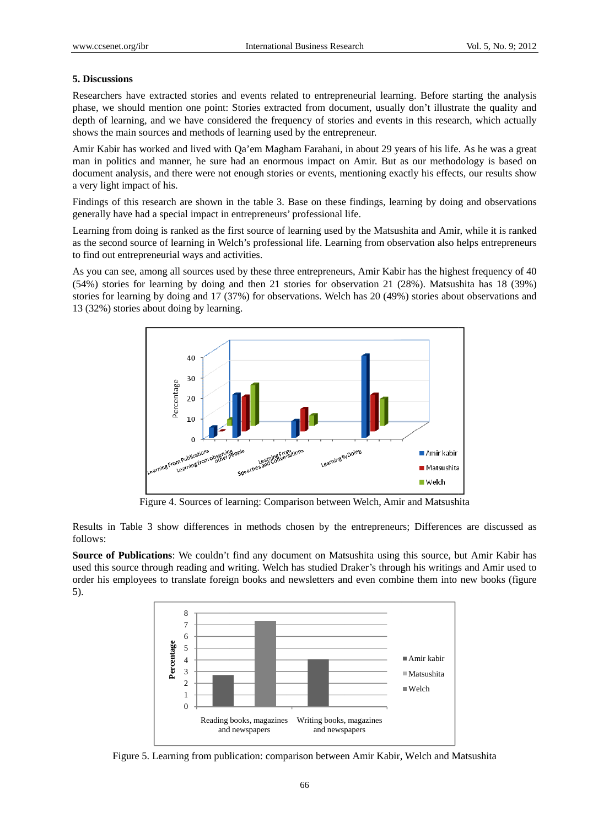#### **5. Discuss sions**

Researchers have extracted stories and events related to entrepreneurial learning. Before starting the analysis phase, we should mention one point: Stories extracted from document, usually don't illustrate the quality and depth of learning, and we have considered the frequency of stories and events in this research, which actually shows the main sources and methods of learning used by the entrepreneur.

Amir Kabir has worked and lived with Qa'em Magham Farahani, in about 29 years of his life. As he was a great man in politics and manner, he sure had an enormous impact on Amir. But as our methodology is based on document analysis, and there were not enough stories or events, mentioning exactly his effects, our results show a very light impact of his.

Findings of this research are shown in the table 3. Base on these findings, learning by doing and observations generally have had a special impact in entrepreneurs' professional life.

Learning from doing is ranked as the first source of learning used by the Matsushita and Amir, while it is ranked as the second source of learning in Welch's professional life. Learning from observation also helps entrepreneurs to find out entrepreneurial ways and activities.

As you can see, among all sources used by these three entrepreneurs, Amir Kabir has the highest frequency of 40  $(54%)$  stories for learning by doing and then 21 stories for observation 21  $(28%)$ . Matsushita has 18  $(39%)$ stories for learning by doing and 17 (37%) for observations. Welch has 20 (49%) stories about observations and 13 (32%) stories about doing by learning.



Figure 4. Sources of learning: Comparison between Welch, Amir and Matsushita

Results in Table 3 show differences in methods chosen by the entrepreneurs; Differences are discussed as follows:

Source of Publications: We couldn't find any document on Matsushita using this source, but Amir Kabir has used this source through reading and writing. Welch has studied Draker's through his writings and Amir used to order his employees to translate foreign books and newsletters and even combine them into new books (figure 5).



Figure 5. Learning from publication: comparison between Amir Kabir, Welch and Matsushita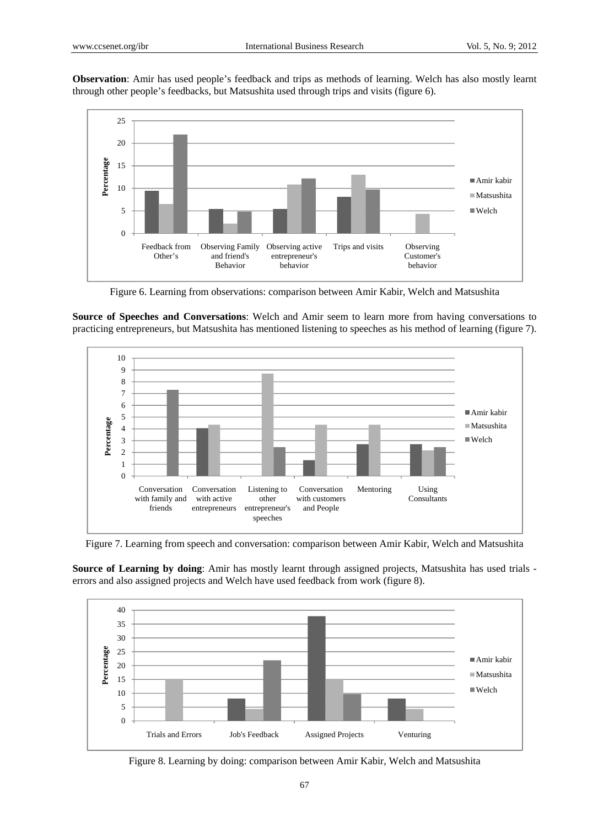**Observation**: Amir has used people's feedback and trips as methods of learning. Welch has also mostly learnt through other people's feedbacks, but Matsushita used through trips and visits (figure 6).



Figure 6. Learning from observations: comparison between Amir Kabir, Welch and Matsushita

**Source of Speeches and Conversations**: Welch and Amir seem to learn more from having conversations to practicing entrepreneurs, but Matsushita has mentioned listening to speeches as his method of learning (figure 7).



Figure 7. Learning from speech and conversation: comparison between Amir Kabir, Welch and Matsushita

**Source of Learning by doing**: Amir has mostly learnt through assigned projects, Matsushita has used trials errors and also assigned projects and Welch have used feedback from work (figure 8).





67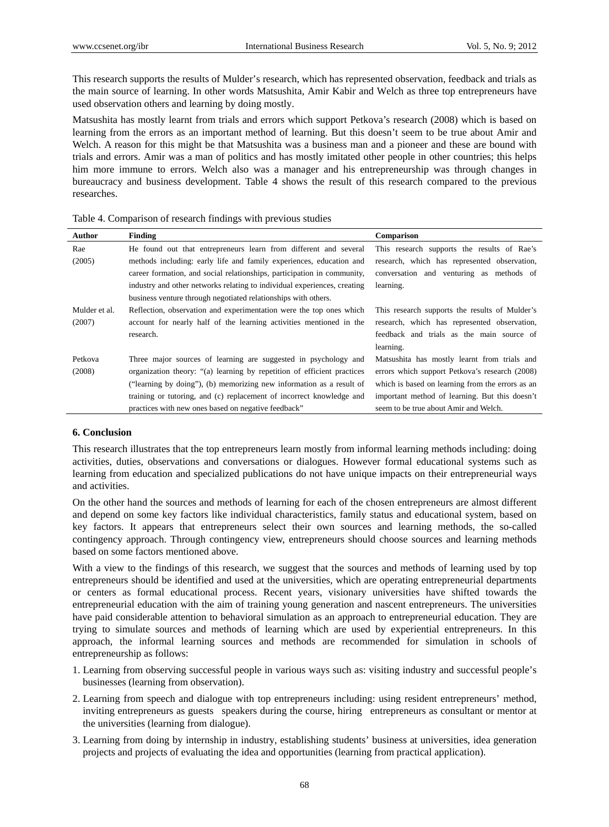This research supports the results of Mulder's research, which has represented observation, feedback and trials as the main source of learning. In other words Matsushita, Amir Kabir and Welch as three top entrepreneurs have used observation others and learning by doing mostly.

Matsushita has mostly learnt from trials and errors which support Petkova's research (2008) which is based on learning from the errors as an important method of learning. But this doesn't seem to be true about Amir and Welch. A reason for this might be that Matsushita was a business man and a pioneer and these are bound with trials and errors. Amir was a man of politics and has mostly imitated other people in other countries; this helps him more immune to errors. Welch also was a manager and his entrepreneurship was through changes in bureaucracy and business development. Table 4 shows the result of this research compared to the previous researches.

|  |  |  | Table 4. Comparison of research findings with previous studies |  |
|--|--|--|----------------------------------------------------------------|--|
|  |  |  |                                                                |  |

| Author        | <b>Finding</b>                                                           | <b>Comparison</b>                                |
|---------------|--------------------------------------------------------------------------|--------------------------------------------------|
| Rae           | He found out that entrepreneurs learn from different and several         | This research supports the results of Rae's      |
| (2005)        | methods including: early life and family experiences, education and      | research, which has represented observation,     |
|               | career formation, and social relationships, participation in community,  | conversation and venturing as methods of         |
|               | industry and other networks relating to individual experiences, creating | learning.                                        |
|               | business venture through negotiated relationships with others.           |                                                  |
| Mulder et al. | Reflection, observation and experimentation were the top ones which      | This research supports the results of Mulder's   |
| (2007)        | account for nearly half of the learning activities mentioned in the      | research, which has represented observation,     |
|               | research.                                                                | feedback and trials as the main source of        |
|               |                                                                          | learning.                                        |
| Petkova       | Three major sources of learning are suggested in psychology and          | Matsushita has mostly learnt from trials and     |
| (2008)        | organization theory: "(a) learning by repetition of efficient practices  | errors which support Petkova's research (2008)   |
|               | ("learning by doing"), (b) memorizing new information as a result of     | which is based on learning from the errors as an |
|               | training or tutoring, and (c) replacement of incorrect knowledge and     | important method of learning. But this doesn't   |
|               | practices with new ones based on negative feedback"                      | seem to be true about Amir and Welch.            |

## **6. Conclusion**

This research illustrates that the top entrepreneurs learn mostly from informal learning methods including: doing activities, duties, observations and conversations or dialogues. However formal educational systems such as learning from education and specialized publications do not have unique impacts on their entrepreneurial ways and activities.

On the other hand the sources and methods of learning for each of the chosen entrepreneurs are almost different and depend on some key factors like individual characteristics, family status and educational system, based on key factors. It appears that entrepreneurs select their own sources and learning methods, the so-called contingency approach. Through contingency view, entrepreneurs should choose sources and learning methods based on some factors mentioned above.

With a view to the findings of this research, we suggest that the sources and methods of learning used by top entrepreneurs should be identified and used at the universities, which are operating entrepreneurial departments or centers as formal educational process. Recent years, visionary universities have shifted towards the entrepreneurial education with the aim of training young generation and nascent entrepreneurs. The universities have paid considerable attention to behavioral simulation as an approach to entrepreneurial education. They are trying to simulate sources and methods of learning which are used by experiential entrepreneurs. In this approach, the informal learning sources and methods are recommended for simulation in schools of entrepreneurship as follows:

- 1. Learning from observing successful people in various ways such as: visiting industry and successful people's businesses (learning from observation).
- 2. Learning from speech and dialogue with top entrepreneurs including: using resident entrepreneurs' method, inviting entrepreneurs as guests speakers during the course, hiring entrepreneurs as consultant or mentor at the universities (learning from dialogue).
- 3. Learning from doing by internship in industry, establishing students' business at universities, idea generation projects and projects of evaluating the idea and opportunities (learning from practical application).